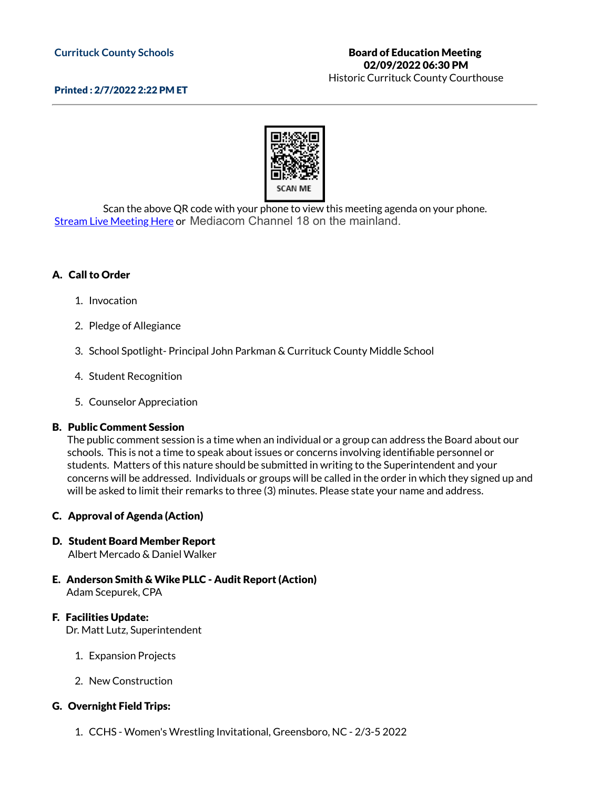#### **Currituck County Schools**

#### Historic Currituck County Courthouse

### Printed : 2/7/2022 2:22 PM ET



Scan the above QR code with your phone to view this meeting agenda on your phone. Stream Live [Meeting](http://currituckcountync.iqm2.com/Citizens/default.aspx) Here or Mediacom Channel 18 on the mainland.

## A. Call to Order

- 1. Invocation
- 2. Pledge of Allegiance
- 3. School Spotlight- Principal John Parkman & Currituck County Middle School
- 4. Student Recognition
- 5. Counselor Appreciation

#### B. Public Comment Session

The public comment session is a time when an individual or a group can address the Board about our schools. This is not a time to speak about issues or concerns involving identifiable personnel or students. Matters of this nature should be submitted in writing to the Superintendent and your concerns will be addressed. Individuals or groups will be called in the order in which they signed up and will be asked to limit their remarks to three (3) minutes. Please state your name and address.

### C. Approval of Agenda (Action)

# D. Student Board Member Report

Albert Mercado & Daniel Walker

E. Anderson Smith & Wike PLLC - Audit Report (Action) Adam Scepurek, CPA

### F. Facilities Update:

Dr. Matt Lutz, Superintendent

- 1. Expansion Projects
- 2. New Construction

### G. Overnight Field Trips:

1. CCHS - Women's Wrestling Invitational, Greensboro, NC - 2/3-5 2022